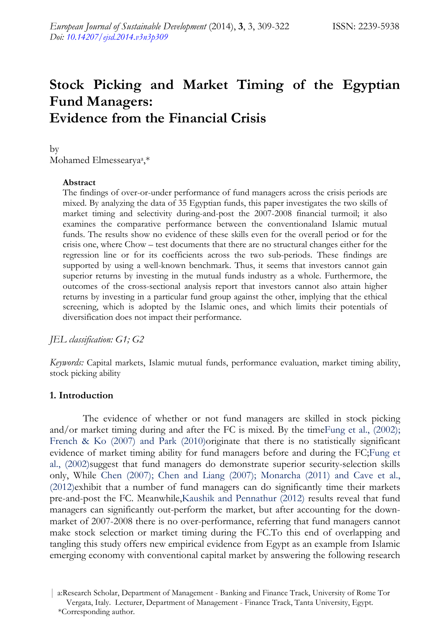# **Stock Picking and Market Timing of the Egyptian Fund Managers: Evidence from the Financial Crisis**

by Mohamed Elmessearyaa,\*

#### **Abstract**

The findings of over-or-under performance of fund managers across the crisis periods are mixed. By analyzing the data of 35 Egyptian funds, this paper investigates the two skills of market timing and selectivity during-and-post the 2007-2008 financial turmoil; it also examines the comparative performance between the conventionaland Islamic mutual funds. The results show no evidence of these skills even for the overall period or for the crisis one, where Chow – test documents that there are no structural changes either for the regression line or for its coefficients across the two sub-periods. These findings are supported by using a well-known benchmark. Thus, it seems that investors cannot gain superior returns by investing in the mutual funds industry as a whole. Furthermore, the outcomes of the cross-sectional analysis report that investors cannot also attain higher returns by investing in a particular fund group against the other, implying that the ethical screening, which is adopted by the Islamic ones, and which limits their potentials of diversification does not impact their performance.

*JEL classification: G1; G2* 

*Keywords:* Capital markets, Islamic mutual funds, performance evaluation, market timing ability, stock picking ability

#### **1. Introduction**

The evidence of whether or not fund managers are skilled in stock picking and/or market timing during and after the FC is mixed. By the timeFung et al., (2002); French & Ko (2007) and Park (2010)originate that there is no statistically significant evidence of market timing ability for fund managers before and during the FC;Fung et al., (2002)suggest that fund managers do demonstrate superior security-selection skills only, While Chen (2007); Chen and Liang (2007); Monarcha (2011) and Cave et al., (2012)exhibit that a number of fund managers can do significantly time their markets pre-and-post the FC. Meanwhile,Kaushik and Pennathur (2012) results reveal that fund managers can significantly out-perform the market, but after accounting for the downmarket of 2007-2008 there is no over-performance, referring that fund managers cannot make stock selection or market timing during the FC.To this end of overlapping and tangling this study offers new empirical evidence from Egypt as an example from Islamic emerging economy with conventional capital market by answering the following research

<sup>|</sup> a:Research Scholar, Department of Management - Banking and Finance Track, University of Rome Tor Vergata, Italy. Lecturer, Department of Management - Finance Track, Tanta University, Egypt. \*Corresponding author.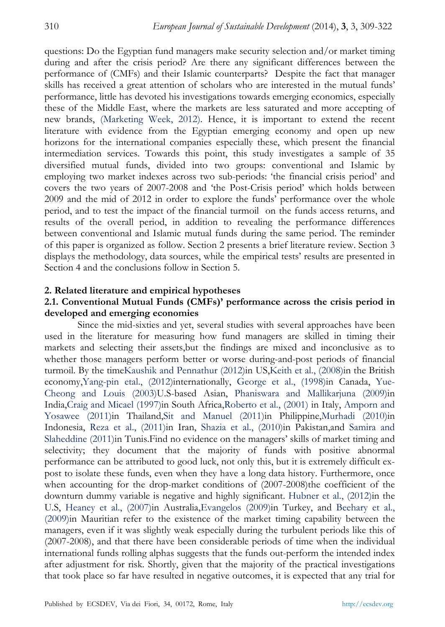questions: Do the Egyptian fund managers make security selection and/or market timing during and after the crisis period? Are there any significant differences between the performance of (CMFs) and their Islamic counterparts? Despite the fact that manager skills has received a great attention of scholars who are interested in the mutual funds' performance, little has devoted his investigations towards emerging economics, especially these of the Middle East, where the markets are less saturated and more accepting of new brands, (Marketing Week, 2012). Hence, it is important to extend the recent literature with evidence from the Egyptian emerging economy and open up new horizons for the international companies especially these, which present the financial intermediation services. Towards this point, this study investigates a sample of 35 diversified mutual funds, divided into two groups: conventional and Islamic by employing two market indexes across two sub-periods: 'the financial crisis period' and covers the two years of 2007-2008 and 'the Post-Crisis period' which holds between 2009 and the mid of 2012 in order to explore the funds' performance over the whole period, and to test the impact of the financial turmoil on the funds access returns, and results of the overall period, in addition to revealing the performance differences between conventional and Islamic mutual funds during the same period. The reminder of this paper is organized as follow. Section 2 presents a brief literature review. Section 3 displays the methodology, data sources, while the empirical tests' results are presented in Section 4 and the conclusions follow in Section 5.

#### **2. Related literature and empirical hypotheses**

# **2.1. Conventional Mutual Funds (CMFs)' performance across the crisis period in developed and emerging economies**

Since the mid-sixties and yet, several studies with several approaches have been used in the literature for measuring how fund managers are skilled in timing their markets and selecting their assets,but the findings are mixed and inconclusive as to whether those managers perform better or worse during-and-post periods of financial turmoil. By the timeKaushik and Pennathur (2012)in US,Keith et al., (2008)in the British economy,Yang-pin etal., (2012)internationally, George et al., (1998)in Canada, Yue-Cheong and Louis (2003)U.S-based Asian, Phaniswara and Mallikarjuna (2009)in India,Craig and Micael (1997)in South Africa,Roberto et al., (2001) in Italy, Amporn and Yosawee (2011)in Thailand,Sit and Manuel (2011)in Philippine,Murhadi (2010)in Indonesia, Reza et al., (2011)in Iran, Shazia et al., (2010)in Pakistan,and Samira and Slaheddine (2011)in Tunis.Find no evidence on the managers' skills of market timing and selectivity; they document that the majority of funds with positive abnormal performance can be attributed to good luck, not only this, but it is extremely difficult expost to isolate these funds, even when they have a long data history. Furthermore, once when accounting for the drop-market conditions of (2007-2008)the coefficient of the downturn dummy variable is negative and highly significant. Hubner et al., (2012)in the U.S, Heaney et al., (2007)in Australia,Evangelos (2009)in Turkey, and Beehary et al., (2009)in Mauritian refer to the existence of the market timing capability between the managers, even if it was slightly weak especially during the turbulent periods like this of (2007-2008), and that there have been considerable periods of time when the individual international funds rolling alphas suggests that the funds out-perform the intended index after adjustment for risk. Shortly, given that the majority of the practical investigations that took place so far have resulted in negative outcomes, it is expected that any trial for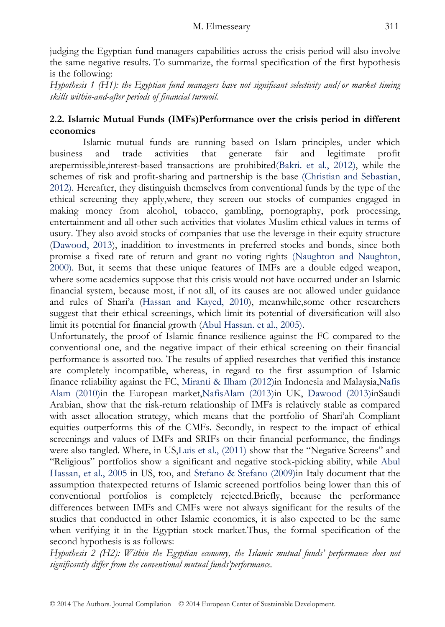judging the Egyptian fund managers capabilities across the crisis period will also involve the same negative results. To summarize, the formal specification of the first hypothesis is the following:

*Hypothesis 1 (H1): the Egyptian fund managers have not significant selectivity and/or market timing skills within-and-after periods of financial turmoil.* 

# **2.2. Islamic Mutual Funds (IMFs)Performance over the crisis period in different economics**

Islamic mutual funds are running based on Islam principles, under which business and trade activities that generate fair and legitimate profit arepermissible,interest-based transactions are prohibited(Bakri. et al., 2012), while the schemes of risk and profit-sharing and partnership is the base (Christian and Sebastian, 2012). Hereafter, they distinguish themselves from conventional funds by the type of the ethical screening they apply,where, they screen out stocks of companies engaged in making money from alcohol, tobacco, gambling, pornography, pork processing, entertainment and all other such activities that violates Muslim ethical values in terms of usury. They also avoid stocks of companies that use the leverage in their equity structure (Dawood, 2013), inaddition to investments in preferred stocks and bonds, since both promise a fixed rate of return and grant no voting rights (Naughton and Naughton, 2000). But, it seems that these unique features of IMFs are a double edged weapon, where some academics suppose that this crisis would not have occurred under an Islamic financial system, because most, if not all, of its causes are not allowed under guidance and rules of Shari'a (Hassan and Kayed, 2010), meanwhile,some other researchers suggest that their ethical screenings, which limit its potential of diversification will also limit its potential for financial growth (Abul Hassan. et al., 2005).

Unfortunately, the proof of Islamic finance resilience against the FC compared to the conventional one, and the negative impact of their ethical screening on their financial performance is assorted too. The results of applied researches that verified this instance are completely incompatible, whereas, in regard to the first assumption of Islamic finance reliability against the FC, Miranti & Ilham (2012)in Indonesia and Malaysia,Nafis Alam (2010)in the European market,NafisAlam (2013)in UK, Dawood (2013)inSaudi Arabian, show that the risk-return relationship of IMFs is relatively stable as compared with asset allocation strategy, which means that the portfolio of Shari'ah Compliant equities outperforms this of the CMFs. Secondly, in respect to the impact of ethical screenings and values of IMFs and SRIFs on their financial performance, the findings were also tangled. Where, in US,Luis et al., (2011) show that the "Negative Screens" and "Religious" portfolios show a significant and negative stock-picking ability, while Abul Hassan, et al., 2005 in US, too, and Stefano & Stefano (2009)in Italy document that the assumption thatexpected returns of Islamic screened portfolios being lower than this of conventional portfolios is completely rejected.Briefly, because the performance differences between IMFs and CMFs were not always significant for the results of the studies that conducted in other Islamic economics, it is also expected to be the same when verifying it in the Egyptian stock market.Thus, the formal specification of the second hypothesis is as follows:

*Hypothesis 2 (H2): Within the Egyptian economy, the Islamic mutual funds' performance does not significantly differ from the conventional mutual funds'performance.*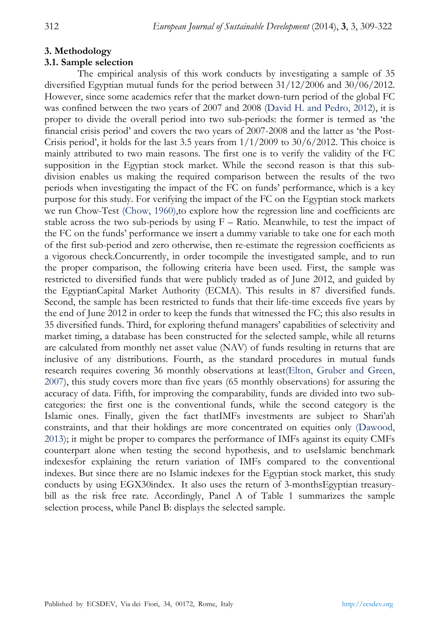# **3. Methodology**

# **3.1. Sample selection**

The empirical analysis of this work conducts by investigating a sample of 35 diversified Egyptian mutual funds for the period between 31/12/2006 and 30/06/2012. However, since some academics refer that the market down-turn period of the global FC was confined between the two years of 2007 and 2008 (David H. and Pedro, 2012), it is proper to divide the overall period into two sub-periods: the former is termed as 'the financial crisis period' and covers the two years of 2007-2008 and the latter as 'the Post-Crisis period', it holds for the last 3.5 years from  $1/1/2009$  to  $30/6/2012$ . This choice is mainly attributed to two main reasons. The first one is to verify the validity of the FC supposition in the Egyptian stock market. While the second reason is that this subdivision enables us making the required comparison between the results of the two periods when investigating the impact of the FC on funds' performance, which is a key purpose for this study. For verifying the impact of the FC on the Egyptian stock markets we run Chow-Test (Chow, 1960),to explore how the regression line and coefficients are stable across the two sub-periods by using  $F -$  Ratio. Meanwhile, to test the impact of the FC on the funds' performance we insert a dummy variable to take one for each moth of the first sub-period and zero otherwise, then re-estimate the regression coefficients as a vigorous check.Concurrently, in order tocompile the investigated sample, and to run the proper comparison, the following criteria have been used. First, the sample was restricted to diversified funds that were publicly traded as of June 2012, and guided by the EgyptianCapital Market Authority (ECMA). This results in 87 diversified funds. Second, the sample has been restricted to funds that their life-time exceeds five years by the end of June 2012 in order to keep the funds that witnessed the FC; this also results in 35 diversified funds. Third, for exploring thefund managers' capabilities of selectivity and market timing, a database has been constructed for the selected sample, while all returns are calculated from monthly net asset value (NAV) of funds resulting in returns that are inclusive of any distributions. Fourth, as the standard procedures in mutual funds research requires covering 36 monthly observations at least(Elton, Gruber and Green, 2007), this study covers more than five years (65 monthly observations) for assuring the accuracy of data. Fifth, for improving the comparability, funds are divided into two subcategories: the first one is the conventional funds, while the second category is the Islamic ones. Finally, given the fact thatIMFs investments are subject to Shari'ah constraints, and that their holdings are more concentrated on equities only (Dawood, 2013); it might be proper to compares the performance of IMFs against its equity CMFs counterpart alone when testing the second hypothesis, and to useIslamic benchmark indexesfor explaining the return variation of IMFs compared to the conventional indexes. But since there are no Islamic indexes for the Egyptian stock market, this study conducts by using EGX30index. It also uses the return of 3-monthsEgyptian treasurybill as the risk free rate. Accordingly, Panel A of Table 1 summarizes the sample selection process, while Panel B: displays the selected sample.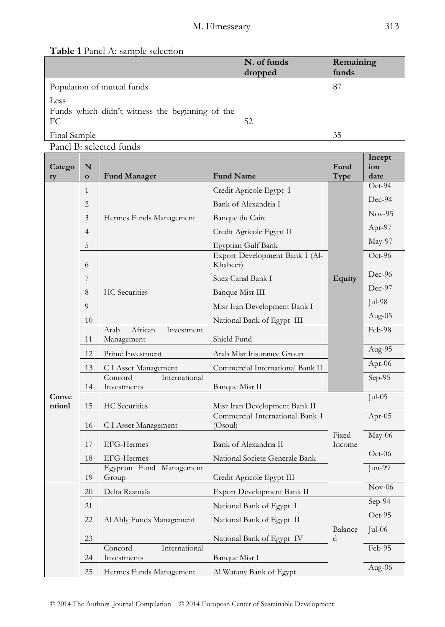# **Table 1** Panel A: sample selection

|                                                               | N. of funds | Remaining |
|---------------------------------------------------------------|-------------|-----------|
|                                                               | dropped     | funds     |
| Population of mutual funds                                    |             | 87        |
| Less<br>Funds which didn't witness the beginning of the<br>FC | 52          |           |
| Final Sample                                                  |             | 35        |

Panel B: selected funds

| Catego | N              |                                             |                                            | Fund            | Incept<br>ion    |  |
|--------|----------------|---------------------------------------------|--------------------------------------------|-----------------|------------------|--|
| ry     | $\mathbf{o}$   | <b>Fund Manager</b>                         | <b>Fund Name</b>                           | Type            | date<br>$Oct-94$ |  |
|        | 1              |                                             | Credit Agricole Egypt I                    |                 | Dec-94           |  |
|        | $\overline{c}$ |                                             | Bank of Alexandria I                       |                 |                  |  |
|        | 3              | Hermes Funds Management                     | Banque du Caire                            |                 | $Nov-95$         |  |
|        | 4              |                                             | Credit Agricole Egypt II                   |                 | Apr-97           |  |
|        | 5              |                                             | Egyptian Gulf Bank                         |                 | May-97           |  |
|        | 6              |                                             | Export Development Bank I (Al-<br>Khabeer) |                 | Oct-96           |  |
|        | 7              |                                             | Suez Canal Bank I                          | <b>Equity</b>   | Dec-96           |  |
|        | 8              | <b>HC</b> Securities                        | Banque Misr III                            |                 | Dec-97           |  |
|        | 9              |                                             | Misr Iran Development Bank I               |                 | Jul-98           |  |
|        | 10             |                                             | National Bank of Egypt III                 |                 | Aug- $05$        |  |
|        | 11             | Arab<br>African<br>Investment<br>Management | Shield Fund                                |                 |                  |  |
|        | 12             | Prime Investment                            | Arab Misr Insurance Group                  |                 | Aug-95           |  |
|        | 13             | C I Asset Management                        | Commercial International Bank II           |                 | Apr-06           |  |
|        | 14             | Concord<br>International<br>Investments     | Banque Misr II                             |                 | Sep-95           |  |
| Conve  |                |                                             |                                            |                 | $Jul-05$         |  |
| ntionl | 15             | <b>HC</b> Securities                        | Misr Iran Development Bank II              |                 |                  |  |
|        | 16             | C I Asset Management                        | Commercial International Bank I<br>(Osoul) |                 | Apr-05           |  |
|        | 17             | EFG-Hermes                                  | Bank of Alexandria II                      | Fixed<br>Income | May-06           |  |
|        | 18             | EFG-Hermes                                  | National Societe Generale Bank             |                 | $Oct-06$         |  |
|        | 19             | Egyptian Fund Management<br>Group           | Credit Agricole Egypt III                  |                 | Jun-99           |  |
|        | 20             | Delta Rasmala                               | Export Development Bank II                 |                 | $Nov-06$         |  |
|        | 21             |                                             | National Bank of Egypt I                   |                 | Sep-94           |  |
|        | 22             | Al Ahly Funds Management                    | National Bank of Egypt II                  |                 | $Oct-95$         |  |
|        | 23             |                                             | National Bank of Egypt IV                  | Balance<br>d    | $Jul-06$         |  |
|        | 24             | Concord<br>International<br>Investments     | Banque Misr I                              |                 | Feb-95           |  |
|        | 25             | Hermes Funds Management                     | Al Watany Bank of Egypt                    |                 | Aug-06           |  |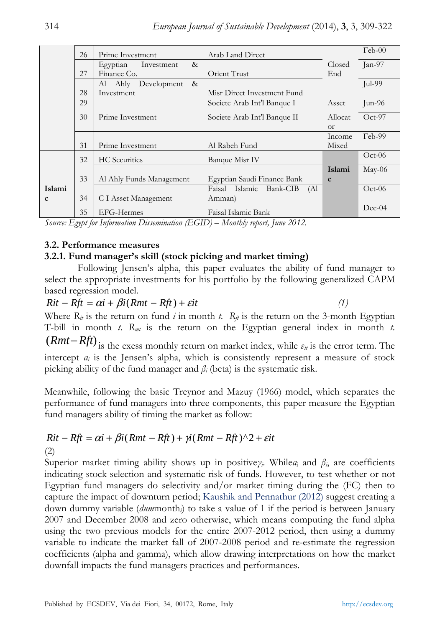|             | 26 | Prime Investment            | Arab Land Direct               |              | $Feb-00$        |
|-------------|----|-----------------------------|--------------------------------|--------------|-----------------|
|             |    | Egyptian<br>&<br>Investment |                                | Closed       | Jan-97          |
|             | 27 | Finance Co.                 | Orient Trust                   | End          |                 |
|             |    | Al Ahly Development<br>&    |                                |              | Jul-99          |
|             | 28 | Investment                  | Misr Direct Investment Fund    |              |                 |
|             | 29 |                             | Societe Arab Int'l Banque I    | Asset        | $Jun-96$        |
|             | 30 | Prime Investment            | Societe Arab Int'l Banque II   | Allocat      | $Oct-97$        |
|             |    |                             |                                | <b>or</b>    |                 |
|             |    |                             |                                | Income       | Feb-99          |
|             | 31 | Prime Investment            | Al Rabeh Fund                  | Mixed        |                 |
|             | 32 | <b>HC</b> Securities        | Banque Misr IV                 |              | $Oct-06$        |
|             |    |                             |                                | Islami       | $\text{May-06}$ |
|             | 33 | Al Ahly Funds Management    | Egyptian Saudi Finance Bank    | $\mathbf{c}$ |                 |
| Islami      |    |                             | Faisal Islamic Bank-CIB<br>(Al |              | $Oct-06$        |
| $\mathbf c$ | 34 | C I Asset Management        | Amman)                         |              |                 |
|             | 35 | EFG-Hermes                  | Faisal Islamic Bank            |              | $Dec-04$        |

*Source: Egypt for Information Dissemination (EGID) – Monthly report, June 2012.* 

### **3.2. Performance measures**

### **3.2.1. Fund manager's skill (stock picking and market timing)**

Following Jensen's alpha, this paper evaluates the ability of fund manager to select the appropriate investments for his portfolio by the following generalized CAPM based regression model.

 $Rit - Rft = \alpha i + \beta i(Rmt - Rft) + \varepsilon i t$  (1)

Where  $R_{\mu}$  is the return on fund *i* in month *t*.  $R_{\mu}$  is the return on the 3-month Egyptian T-bill in month  $t$ .  $R_{mt}$  is the return on the Egyptian general index in month  $t$ .

 $(Rmt-Rft)$  is the exess monthly return on market index, while  $\varepsilon_{it}$  is the error term. The intercept  $a_i$  is the Jensen's alpha, which is consistently represent a measure of stock picking ability of the fund manager and  $\beta$ <sup>*i*</sup> (beta) is the systematic risk.

Meanwhile, following the basic Treynor and Mazuy (1966) model, which separates the performance of fund managers into three components, this paper measure the Egyptian fund managers ability of timing the market as follow:

# $Rit - Rft = \alpha i + \beta i(Rmt - Rft) + \gamma i(Rmt - Rft)^{2} + \varepsilon i t$

(2)

Superior market timing ability shows up in positive $\gamma$ *i*. While*a*<sub>i</sub> and  $\beta$ <sup>*i*</sup>, are coefficients indicating stock selection and systematic risk of funds. However, to test whether or not Egyptian fund managers do selectivity and/or market timing during the (FC) then to capture the impact of downturn period; Kaushik and Pennathur (2012) suggest creating a down dummy variable (*dum*month*i*) to take a value of 1 if the period is between January 2007 and December 2008 and zero otherwise, which means computing the fund alpha using the two previous models for the entire 2007-2012 period, then using a dummy variable to indicate the market fall of 2007-2008 period and re-estimate the regression coefficients (alpha and gamma), which allow drawing interpretations on how the market downfall impacts the fund managers practices and performances.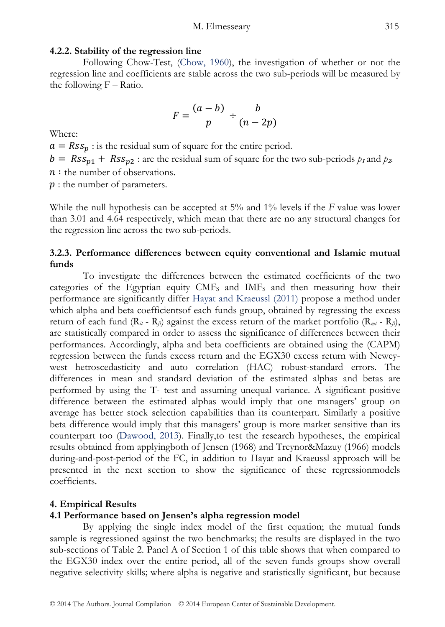#### **4.2.2. Stability of the regression line**

Following Chow-Test, (Chow, 1960), the investigation of whether or not the regression line and coefficients are stable across the two sub-periods will be measured by the following  $F - Ratio$ .

$$
F=\frac{(a-b)}{p}\div\frac{b}{(n-2p)}
$$

Where:

 $a = Rss_p$ : is the residual sum of square for the entire period.  $b = Rss_{p1} + Rss_{p2}$ : are the residual sum of square for the two sub-periods  $p_1$  and  $p_2$ .  $n:$  the number of observations.

 $p:$  the number of parameters.

While the null hypothesis can be accepted at 5% and 1% levels if the *F* value was lower than 3.01 and 4.64 respectively, which mean that there are no any structural changes for the regression line across the two sub-periods.

# **3.2.3. Performance differences between equity conventional and Islamic mutual funds**

To investigate the differences between the estimated coefficients of the two categories of the Egyptian equity  $CMF<sub>S</sub>$  and  $IMF<sub>S</sub>$  and then measuring how their performance are significantly differ Hayat and Kraeussl (2011) propose a method under which alpha and beta coefficientsof each funds group, obtained by regressing the excess return of each fund  $(R_{it} - R_{fi})$  against the excess return of the market portfolio  $(R_{mt} - R_{fi})$ , are statistically compared in order to assess the significance of differences between their performances. Accordingly, alpha and beta coefficients are obtained using the (CAPM) regression between the funds excess return and the EGX30 excess return with Neweywest hetroscedasticity and auto correlation (HAC) robust-standard errors. The differences in mean and standard deviation of the estimated alphas and betas are performed by using the T- test and assuming unequal variance. A significant positive difference between the estimated alphas would imply that one managers' group on average has better stock selection capabilities than its counterpart. Similarly a positive beta difference would imply that this managers' group is more market sensitive than its counterpart too (Dawood, 2013). Finally,to test the research hypotheses, the empirical results obtained from applyingboth of Jensen (1968) and Treynor&Mazuy (1966) models during-and-post-period of the FC, in addition to Hayat and Kraeussl approach will be presented in the next section to show the significance of these regressionmodels coefficients.

#### **4. Empirical Results**

#### **4.1 Performance based on Jensen's alpha regression model**

By applying the single index model of the first equation; the mutual funds sample is regressioned against the two benchmarks; the results are displayed in the two sub-sections of Table 2. Panel A of Section 1 of this table shows that when compared to the EGX30 index over the entire period, all of the seven funds groups show overall negative selectivity skills; where alpha is negative and statistically significant, but because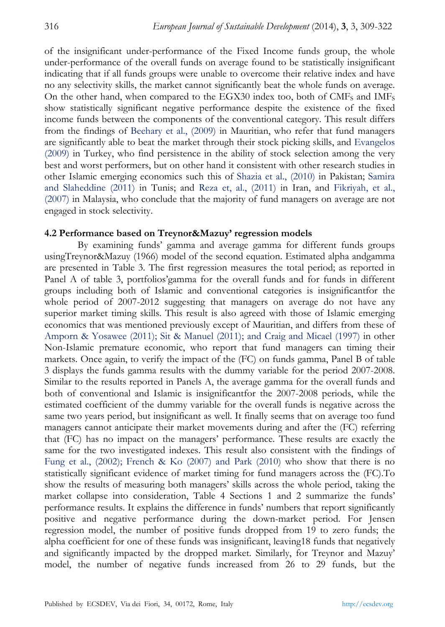of the insignificant under-performance of the Fixed Income funds group, the whole under-performance of the overall funds on average found to be statistically insignificant indicating that if all funds groups were unable to overcome their relative index and have no any selectivity skills, the market cannot significantly beat the whole funds on average. On the other hand, when compared to the EGX30 index too, both of CMF<sub>S</sub> and IMF<sub>S</sub> show statistically significant negative performance despite the existence of the fixed income funds between the components of the conventional category. This result differs from the findings of Beehary et al., (2009) in Mauritian, who refer that fund managers are significantly able to beat the market through their stock picking skills, and Evangelos (2009) in Turkey, who find persistence in the ability of stock selection among the very best and worst performers, but on other hand it consistent with other research studies in other Islamic emerging economics such this of Shazia et al., (2010) in Pakistan; Samira and Slaheddine (2011) in Tunis; and Reza et, al., (2011) in Iran, and Fikriyah, et al., (2007) in Malaysia, who conclude that the majority of fund managers on average are not engaged in stock selectivity.

#### **4.2 Performance based on Treynor&Mazuy' regression models**

By examining funds' gamma and average gamma for different funds groups usingTreynor&Mazuy (1966) model of the second equation. Estimated alpha andgamma are presented in Table 3. The first regression measures the total period; as reported in Panel A of table 3, portfolios'gamma for the overall funds and for funds in different groups including both of Islamic and conventional categories is insignificantfor the whole period of 2007-2012 suggesting that managers on average do not have any superior market timing skills. This result is also agreed with those of Islamic emerging economics that was mentioned previously except of Mauritian, and differs from these of Amporn & Yosawee (2011); Sit & Manuel (2011); and Craig and Micael (1997) in other Non-Islamic premature economic, who report that fund managers can timing their markets. Once again, to verify the impact of the (FC) on funds gamma, Panel B of table 3 displays the funds gamma results with the dummy variable for the period 2007-2008. Similar to the results reported in Panels A, the average gamma for the overall funds and both of conventional and Islamic is insignificantfor the 2007-2008 periods, while the estimated coefficient of the dummy variable for the overall funds is negative across the same two years period, but insignificant as well. It finally seems that on average too fund managers cannot anticipate their market movements during and after the (FC) referring that (FC) has no impact on the managers' performance. These results are exactly the same for the two investigated indexes. This result also consistent with the findings of Fung et al., (2002); French & Ko (2007) and Park (2010) who show that there is no statistically significant evidence of market timing for fund managers across the (FC).To show the results of measuring both managers' skills across the whole period, taking the market collapse into consideration, Table 4 Sections 1 and 2 summarize the funds' performance results. It explains the difference in funds' numbers that report significantly positive and negative performance during the down-market period. For Jensen regression model, the number of positive funds dropped from 19 to zero funds; the alpha coefficient for one of these funds was insignificant, leaving18 funds that negatively and significantly impacted by the dropped market. Similarly, for Treynor and Mazuy' model, the number of negative funds increased from 26 to 29 funds, but the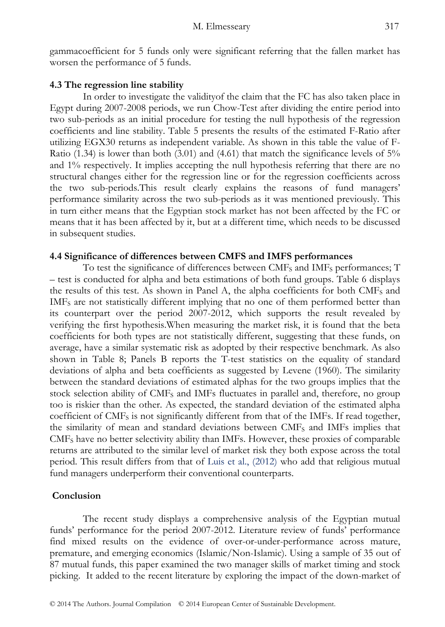gammacoefficient for 5 funds only were significant referring that the fallen market has worsen the performance of 5 funds.

#### **4.3 The regression line stability**

In order to investigate the validityof the claim that the FC has also taken place in Egypt during 2007-2008 periods, we run Chow-Test after dividing the entire period into two sub-periods as an initial procedure for testing the null hypothesis of the regression coefficients and line stability. Table 5 presents the results of the estimated F-Ratio after utilizing EGX30 returns as independent variable. As shown in this table the value of F-Ratio (1.34) is lower than both (3.01) and (4.61) that match the significance levels of 5% and 1% respectively. It implies accepting the null hypothesis referring that there are no structural changes either for the regression line or for the regression coefficients across the two sub-periods.This result clearly explains the reasons of fund managers' performance similarity across the two sub-periods as it was mentioned previously. This in turn either means that the Egyptian stock market has not been affected by the FC or means that it has been affected by it, but at a different time, which needs to be discussed in subsequent studies.

#### **4.4 Significance of differences between CMFS and IMFS performances**

To test the significance of differences between CMF<sub>S</sub> and IMF<sub>S</sub> performances; T – test is conducted for alpha and beta estimations of both fund groups. Table 6 displays the results of this test. As shown in Panel A, the alpha coefficients for both CMFS and IMF<sub>S</sub> are not statistically different implying that no one of them performed better than its counterpart over the period 2007-2012, which supports the result revealed by verifying the first hypothesis.When measuring the market risk, it is found that the beta coefficients for both types are not statistically different, suggesting that these funds, on average, have a similar systematic risk as adopted by their respective benchmark. As also shown in Table 8; Panels B reports the T-test statistics on the equality of standard deviations of alpha and beta coefficients as suggested by Levene (1960). The similarity between the standard deviations of estimated alphas for the two groups implies that the stock selection ability of CMF<sub>S</sub> and IMFs fluctuates in parallel and, therefore, no group too is riskier than the other. As expected, the standard deviation of the estimated alpha coefficient of CMFS is not significantly different from that of the IMFs. If read together, the similarity of mean and standard deviations between CMFS and IMFs implies that CMFS have no better selectivity ability than IMFs. However, these proxies of comparable returns are attributed to the similar level of market risk they both expose across the total period. This result differs from that of Luis et al., (2012) who add that religious mutual fund managers underperform their conventional counterparts.

### **Conclusion**

The recent study displays a comprehensive analysis of the Egyptian mutual funds' performance for the period 2007-2012. Literature review of funds' performance find mixed results on the evidence of over-or-under-performance across mature, premature, and emerging economics (Islamic/Non-Islamic). Using a sample of 35 out of 87 mutual funds, this paper examined the two manager skills of market timing and stock picking. It added to the recent literature by exploring the impact of the down-market of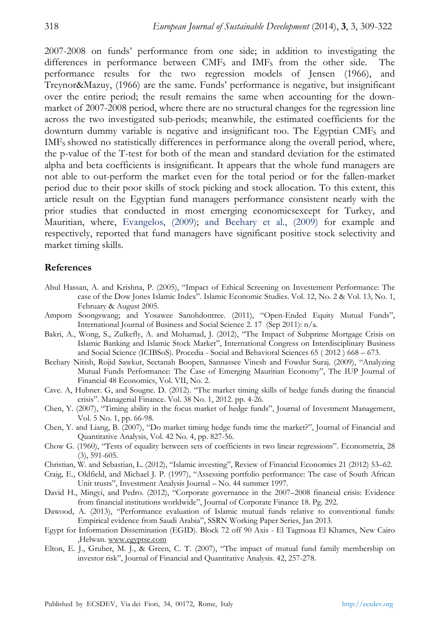2007-2008 on funds' performance from one side; in addition to investigating the differences in performance between  $CMF<sub>S</sub>$  and  $IMF<sub>S</sub>$  from the other side. The performance results for the two regression models of Jensen (1966), and Treynor&Mazuy, (1966) are the same. Funds' performance is negative, but insignificant over the entire period; the result remains the same when accounting for the downmarket of 2007-2008 period, where there are no structural changes for the regression line across the two investigated sub-periods; meanwhile, the estimated coefficients for the downturn dummy variable is negative and insignificant too. The Egyptian  $CMF<sub>S</sub>$  and IMF<sub>S</sub> showed no statistically differences in performance along the overall period, where, the p-value of the T-test for both of the mean and standard deviation for the estimated alpha and beta coefficients is insignificant. It appears that the whole fund managers are not able to out-perform the market even for the total period or for the fallen-market period due to their poor skills of stock picking and stock allocation. To this extent, this article result on the Egyptian fund managers performance consistent nearly with the prior studies that conducted in most emerging economicsexcept for Turkey, and Mauritian, where, Evangelos, (2009); and Beehary et al., (2009) for example and respectively, reported that fund managers have significant positive stock selectivity and market timing skills.

#### **References**

- Abul Hassan, A. and Krishna, P. (2005), "Impact of Ethical Screening on Investement Performance: The case of the Dow Jones Islamic Index". Islamic Economic Studies. Vol. 12, No. 2 & Vol. 13, No. 1, February & August 2005.
- Amporn Soongswang; and Yosawee Sanohdontree. (2011), "Open-Ended Equity Mutual Funds", International Journal of Business and Social Science 2. 17 (Sep 2011): n/a.
- Bakri, A., Wong, S., Zulkefly, A. and Mohamad, J. (2012), "The Impact of Subprime Mortgage Crisis on Islamic Banking and Islamic Stock Market", International Congress on Interdisciplinary Business and Social Science (ICIBSoS). Procedia - Social and Behavioral Sciences 65 ( 2012 ) 668 – 673.
- Beehary Nitish, Rojid Sawkut, Seetanah Boopen, Sannassee Vinesh and Fowdur Suraj. (2009), "Analyzing Mutual Funds Performance: The Case of Emerging Mauritian Economy", The IUP Journal of Financial 48 Economics, Vol. VII, No. 2.
- Cave. A, Hubner. G, and Sougne. D. (2012). "The market timing skills of hedge funds during the financial crisis". Managerial Finance. Vol. 38 No. 1, 2012. pp. 4-26.
- Chen, Y. (2007), "Timing ability in the focus market of hedge funds", Journal of Investment Management, Vol. 5 No. 1, pp. 66-98.
- Chen, Y. and Liang, B. (2007), "Do market timing hedge funds time the market?", Journal of Financial and Quantitative Analysis, Vol. 42 No. 4, pp. 827-56.
- Chow G. (1960), "Tests of equality between sets of coefficients in two linear regressions". Econometria, 28 (3), 591-605.
- Christian, W. and Sebastian, L. (2012), "Islamic investing", Review of Financial Economics 21 (2012) 53–62.
- Craig, E., Oldfield, and Michael J. P. (1997), "Assessing portfolio performance: The case of South African Unit trusts", Investment Analysis Journal – No. 44 summer 1997.
- David H., Mingyi, and Pedro. (2012), "Corporate governance in the 2007–2008 financial crisis: Evidence from financial institutions worldwide", Journal of Corporate Finance 18. Pg. 292.
- Dawood, A. (2013), "Performance evaluation of Islamic mutual funds relative to conventional funds: Empirical evidence from Saudi Arabia", SSRN Working Paper Series, Jan 2013.
- Egypt for Information Dissemination (EGID). Block 72 off 90 Axis El Tagmoaa El Khames, New Cairo ,Helwan. www.egyptse.com
- Elton, E. J., Gruber, M. J., & Green, C. T. (2007), "The impact of mutual fund family membership on investor risk", Journal of Financial and Quantitative Analysis. 42, 257-278.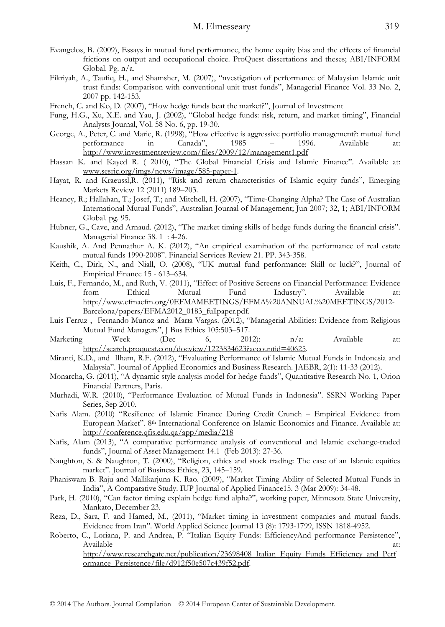- Evangelos, B. (2009), Essays in mutual fund performance, the home equity bias and the effects of financial frictions on output and occupational choice. ProQuest dissertations and theses; ABI/INFORM Global. Pg. n/a.
- Fikriyah, A., Taufiq, H., and Shamsher, M. (2007), "nvestigation of performance of Malaysian Islamic unit trust funds: Comparison with conventional unit trust funds", Managerial Finance Vol. 33 No. 2, 2007 pp. 142-153.
- French, C. and Ko, D. (2007), "How hedge funds beat the market?", Journal of Investment
- Fung, H.G., Xu, X.E. and Yau, J. (2002), "Global hedge funds: risk, return, and market timing", Financial Analysts Journal, Vol. 58 No. 6, pp. 19-30.
- George, A., Peter, C. and Marie, R. (1998), "How effective is aggressive portfolio management?: mutual fund performance in Canada", 1985 – 1996. Available http://www.investmentreview.com/files/2009/12/management1.pdf
- Hassan K. and Kayed R. ( 2010), "The Global Financial Crisis and Islamic Finance". Available at: www.sesric.org/imgs/news/image/585-paper-1.
- Hayat, R. and Kraeussl,R. (2011), "Risk and return characteristics of Islamic equity funds", Emerging Markets Review 12 (2011) 189–203.
- Heaney, R.; Hallahan, T.; Josef, T.; and Mitchell, H. (2007), "Time-Changing Alpha? The Case of Australian International Mutual Funds", Australian Journal of Management; Jun 2007; 32, 1; ABI/INFORM Global. pg. 95.
- Hubner, G., Cave, and Arnaud. (2012), "The market timing skills of hedge funds during the financial crisis". Managerial Finance 38. 1 : 4-26.
- Kaushik, A. And Pennathur A. K. (2012), "An empirical examination of the performance of real estate mutual funds 1990-2008". Financial Services Review 21. PP. 343-358.
- Keith, C., Dirk, N., and Niall, O. (2008), "UK mutual fund performance: Skill or luck?", Journal of Empirical Finance 15 - 613–634.
- Luis, F., Fernando, M., and Ruth, V. (2011), "Effect of Positive Screens on Financial Performance: Evidence from Ethical Mutual Fund Industry". Available at: http://www.efmaefm.org/0EFMAMEETINGS/EFMA%20ANNUAL%20MEETINGS/2012- Barcelona/papers/EFMA2012\_0183\_fullpaper.pdf.
- Luis Ferruz , Fernando Munoz and Marıa Vargas. (2012), "Managerial Abilities: Evidence from Religious Mutual Fund Managers", J Bus Ethics 105:503–517.
- Marketing Week (Dec 6, 2012): n/a: Available at: http://search.proquest.com/docview/1223834623?accountid=40625.
- Miranti, K.D., and Ilham, R.F. (2012), "Evaluating Performance of Islamic Mutual Funds in Indonesia and Malaysia". Journal of Applied Economics and Business Research. JAEBR, 2(1): 11-33 (2012).
- Monarcha, G. (2011), "A dynamic style analysis model for hedge funds", Quantitative Research No. 1, Orion Financial Partners, Paris.
- Murhadi, W.R. (2010), "Performance Evaluation of Mutual Funds in Indonesia". SSRN Working Paper Series, Sep 2010.
- Nafis Alam. (2010) "Resilience of Islamic Finance During Credit Crunch Empirical Evidence from European Market". 8th International Conference on Islamic Economics and Finance. Available at: http://conference.qfis.edu.qa/app/media/218
- Nafis, Alam (2013), "A comparative performance analysis of conventional and Islamic exchange-traded funds", Journal of Asset Management 14.1 (Feb 2013): 27-36.
- Naughton, S. & Naughton, T. (2000), "Religion, ethics and stock trading: The case of an Islamic equities market". Journal of Business Ethics, 23, 145–159.
- Phaniswara B. Raju and Mallikarjuna K. Rao. (2009), "Market Timing Ability of Selected Mutual Funds in India", A Comparative Study. IUP Journal of Applied Finance15. 3 (Mar 2009): 34-48.
- Park, H. (2010), "Can factor timing explain hedge fund alpha?", working paper, Minnesota State University, Mankato, December 23.
- Reza, D., Sara, F. and Hamed, M., (2011), "Market timing in investment companies and mutual funds. Evidence from Iran". World Applied Science Journal 13 (8): 1793-1799, ISSN 1818-4952.
- Roberto, C., Loriana, P. and Andrea, P. "Italian Equity Funds: EfficiencyAnd performance Persistence", Available at:  $\overline{a}$  at:  $\overline{a}$  at:  $\overline{a}$  at:  $\overline{a}$  at:  $\overline{a}$  at:  $\overline{a}$  at:  $\overline{a}$ http://www.researchgate.net/publication/23698408\_Italian\_Equity\_Funds\_Efficiency\_and\_Perf

ormance\_Persistence/file/d912f50e507c439f52.pdf.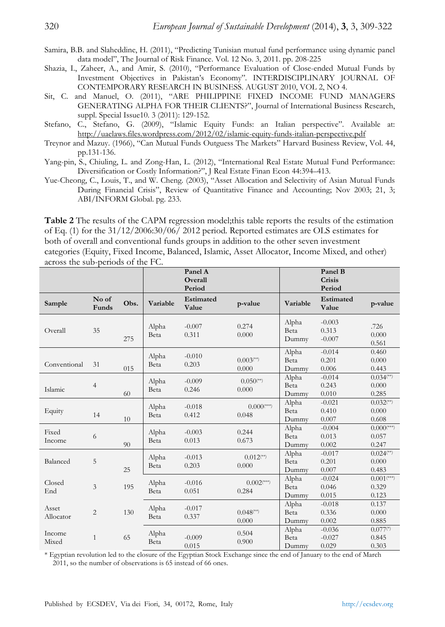Samira, B.B. and Slaheddine, H. (2011), "Predicting Tunisian mutual fund performance using dynamic panel data model", The Journal of Risk Finance. Vol. 12 No. 3, 2011. pp. 208-225

- Shazia, I., Zaheer, A., and Amir, S. (2010), "Performance Evaluation of Close-ended Mutual Funds by Investment Objectives in Pakistan's Economy". INTERDISCIPLINARY JOURNAL OF CONTEMPORARY RESEARCH IN BUSINESS. AUGUST 2010, VOL 2, NO 4.
- Sit, C. and Manuel, O. (2011), "ARE PHILIPPINE FIXED INCOME FUND MANAGERS GENERATING ALPHA FOR THEIR CLIENTS?", Journal of International Business Research, suppl. Special Issue10. 3 (2011): 129-152.
- Stefano, C., Stefano, G. (2009), "Islamic Equity Funds: an Italian perspective". Available at: http://uaelaws.files.wordpress.com/2012/02/islamic-equity-funds-italian-perspective.pdf
- Treynor and Mazuy. (1966), "Can Mutual Funds Outguess The Markets" Harvard Business Review, Vol. 44, pp.131-136.
- Yang-pin, S., Chiuling, L. and Zong-Han, L. (2012), "International Real Estate Mutual Fund Performance: Diversification or Costly Information?", J Real Estate Finan Econ 44:394–413.
- Yue-Cheong, C., Louis, T., and W. Cheng. (2003), "Asset Allocation and Selectivity of Asian Mutual Funds During Financial Crisis", Review of Quantitative Finance and Accounting; Nov 2003; 21, 3; ABI/INFORM Global. pg. 233.

**Table 2** The results of the CAPM regression model;this table reports the results of the estimation of Eq. (1) for the 31/12/2006:30/06/ 2012 period. Reported estimates are OLS estimates for both of overall and conventional funds groups in addition to the other seven investment categories (Equity, Fixed Income, Balanced, Islamic, Asset Allocator, Income Mixed, and other) across the sub-periods of the FC.

|                    |                |      |               | Panel A<br>Overall<br>Period |                                   |                        | Panel B<br>Crisis<br>Period   |                                            |
|--------------------|----------------|------|---------------|------------------------------|-----------------------------------|------------------------|-------------------------------|--------------------------------------------|
| Sample             | No of<br>Funds | Obs. | Variable      | Estimated<br>Value           | p-value                           | Variable               | Estimated<br>Value            | p-value                                    |
| Overall            | 35             | 275  | Alpha<br>Beta | $-0.007$<br>0.311            | 0.274<br>0.000                    | Alpha<br>Beta<br>Dummy | $-0.003$<br>0.313<br>$-0.007$ | .726<br>0.000<br>0.561                     |
| Conventional       | 31             | 015  | Alpha<br>Beta | $-0.010$<br>0.203            | $0.003$ <sup>(**)</sup><br>0.000  | Alpha<br>Beta<br>Dummy | $-0.014$<br>0.201<br>0.006    | 0.460<br>0.000<br>0.443                    |
| Islamic            | $\overline{4}$ | 60   | Alpha<br>Beta | $-0.009$<br>0.246            | $0.050$ <sup>(**)</sup><br>0.000  | Alpha<br>Beta<br>Dummy | $-0.014$<br>0.243<br>0.010    | $0.034$ <sup>(**)</sup><br>0.000<br>0.285  |
| Equity             | 14             | 10   | Alpha<br>Beta | $-0.018$<br>0.412            | $0.000$ <sup>(***)</sup><br>0.048 | Alpha<br>Beta<br>Dummy | $-0.021$<br>0.410<br>0.007    | $0.032$ <sup>(**)</sup><br>0.000<br>0.608  |
| Fixed<br>Income    | 6              | 90   | Alpha<br>Beta | $-0.003$<br>0.013            | 0.244<br>0.673                    | Alpha<br>Beta<br>Dummy | $-0.004$<br>0.013<br>0.002    | $0.000$ <sup>(***)</sup><br>0.057<br>0.247 |
| Balanced           | $\mathbf 5$    | 25   | Alpha<br>Beta | $-0.013$<br>0.203            | $0.012$ <sup>(**)</sup><br>0.000  | Alpha<br>Beta<br>Dummy | $-0.017$<br>0.201<br>0.007    | $0.024$ <sup>(**)</sup><br>0.000<br>0.483  |
| Closed<br>End      | 3              | 195  | Alpha<br>Beta | $-0.016$<br>0.051            | $0.002$ <sup>(***)</sup><br>0.284 | Alpha<br>Beta<br>Dummy | $-0.024$<br>0.046<br>0.015    | $0.001$ <sup>(***)</sup><br>0.329<br>0.123 |
| Asset<br>Allocator | $\overline{2}$ | 130  | Alpha<br>Beta | $-0.017$<br>0.337            | $0.048$ <sup>(**)</sup><br>0.000  | Alpha<br>Beta<br>Dummy | $-0.018$<br>0.336<br>0.002    | 0.137<br>0.000<br>0.885                    |
| Income<br>Mixed    | $\mathbf{1}$   | 65   | Alpha<br>Beta | $-0.009$<br>0.015            | 0.504<br>0.900                    | Alpha<br>Beta<br>Dummy | $-0.036$<br>$-0.027$<br>0.029 | $0.077$ <sup>(*)</sup><br>0.845<br>0.303   |

\* Egyptian revolution led to the closure of the Egyptian Stock Exchange since the end of January to the end of March 2011, so the number of observations is 65 instead of 66 ones.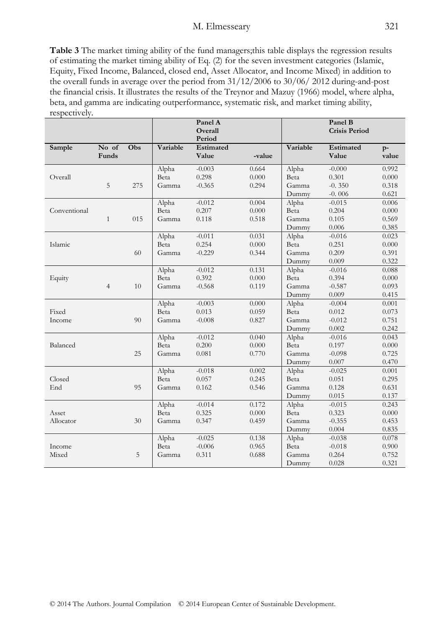#### M. Elmesseary 321

**Table 3** The market timing ability of the fund managers;this table displays the regression results of estimating the market timing ability of Eq. (2) for the seven investment categories (Islamic, Equity, Fixed Income, Balanced, closed end, Asset Allocator, and Income Mixed) in addition to the overall funds in average over the period from 31/12/2006 to 30/06/ 2012 during-and-post the financial crisis. It illustrates the results of the Treynor and Mazuy (1966) model, where alpha, beta, and gamma are indicating outperformance, systematic risk, and market timing ability, respectively.

|              |                |     |          | Panel A<br>Overall  |        |          | Panel B<br><b>Crisis Period</b> |               |
|--------------|----------------|-----|----------|---------------------|--------|----------|---------------------------------|---------------|
| Sample       | No of          | Obs | Variable | Period<br>Estimated |        | Variable | Estimated                       |               |
|              | Funds          |     |          | Value               | -value |          | Value                           | $p-$<br>value |
|              |                |     | Alpha    | $-0.003$            | 0.664  | Alpha    | $-0.000$                        | 0.992         |
| Overall      |                |     | Beta     | 0.298               | 0.000  | Beta     | 0.301                           | 0.000         |
|              | 5              | 275 | Gamma    | $-0.365$            | 0.294  | Gamma    | $-0.350$                        | 0.318         |
|              |                |     |          |                     |        | Dummy    | $-0.006$                        | 0.621         |
|              |                |     | Alpha    | $-0.012$            | 0.004  | Alpha    | $-0.015$                        | 0.006         |
| Conventional |                |     | Beta     | 0.207               | 0.000  | Beta     | 0.204                           | 0.000         |
|              | $\mathbf{1}$   | 015 | Gamma    | 0.118               | 0.518  | Gamma    | 0.105                           | 0.569         |
|              |                |     |          |                     |        | Dummy    | 0.006                           | 0.385         |
|              |                |     | Alpha    | $-0.011$            | 0.031  | Alpha    | $-0.016$                        | 0.023         |
| Islamic      |                |     | Beta     | 0.254               | 0.000  | Beta     | 0.251                           | 0.000         |
|              |                | 60  | Gamma    | $-0.229$            | 0.344  | Gamma    | 0.209                           | 0.391         |
|              |                |     |          |                     |        | Dummy    | 0.009                           | 0.322         |
|              |                |     | Alpha    | $-0.012$            | 0.131  | Alpha    | $-0.016$                        | 0.088         |
| Equity       |                |     | Beta     | 0.392               | 0.000  | Beta     | 0.394                           | 0.000         |
|              | $\overline{4}$ | 10  | Gamma    | $-0.568$            | 0.119  | Gamma    | $-0.587$                        | 0.093         |
|              |                |     |          |                     |        | Dummy    | 0.009                           | 0.415         |
|              |                |     | Alpha    | $-0.003$            | 0.000  | Alpha    | $-0.004$                        | 0.001         |
| Fixed        |                |     | Beta     | 0.013               | 0.059  | Beta     | 0.012                           | 0.073         |
| Income       |                | 90  | Gamma    | $-0.008$            | 0.827  | Gamma    | $-0.012$                        | 0.751         |
|              |                |     |          |                     |        | Dummy    | 0.002                           | 0.242         |
|              |                |     | Alpha    | $-0.012$            | 0.040  | Alpha    | $-0.016$                        | 0.043         |
| Balanced     |                |     | Beta     | 0.200               | 0.000  | Beta     | 0.197                           | 0.000         |
|              |                | 25  | Gamma    | 0.081               | 0.770  | Gamma    | $-0.098$                        | 0.725         |
|              |                |     |          |                     |        | Dummy    | 0.007                           | 0.470         |
|              |                |     | Alpha    | $-0.018$            | 0.002  | Alpha    | $-0.025$                        | 0.001         |
| Closed       |                |     | Beta     | 0.057               | 0.245  | Beta     | 0.051                           | 0.295         |
| End          |                | 95  | Gamma    | 0.162               | 0.546  | Gamma    | 0.128                           | 0.631         |
|              |                |     |          |                     |        | Dummy    | 0.015                           | 0.137         |
|              |                |     | Alpha    | $-0.014$            | 0.172  | Alpha    | $-0.015$                        | 0.243         |
| Asset        |                |     | Beta     | 0.325               | 0.000  | Beta     | 0.323                           | 0.000         |
| Allocator    |                | 30  | Gamma    | 0.347               | 0.459  | Gamma    | $-0.355$                        | 0.453         |
|              |                |     |          |                     |        | Dummy    | 0.004                           | 0.835         |
|              |                |     | Alpha    | $-0.025$            | 0.138  | Alpha    | $-0.038$                        | 0.078         |
| Income       |                |     | Beta     | $-0.006$            | 0.965  | Beta     | $-0.018$                        | 0.900         |
| Mixed        |                | 5   | Gamma    | 0.311               | 0.688  | Gamma    | 0.264                           | 0.752         |
|              |                |     |          |                     |        | Dummy    | 0.028                           | 0.321         |